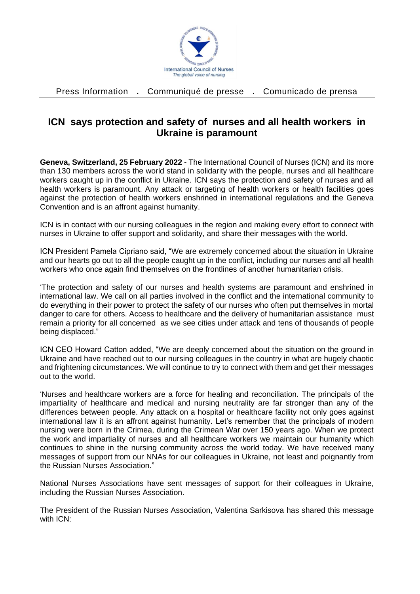

Press Information **.** Communiqué de presse **.** Comunicado de prensa

## **ICN says protection and safety of nurses and all health workers in Ukraine is paramount**

**Geneva, Switzerland, 25 February 2022** - The International Council of Nurses (ICN) and its more than 130 members across the world stand in solidarity with the people, nurses and all healthcare workers caught up in the conflict in Ukraine. ICN says the protection and safety of nurses and all health workers is paramount. Any attack or targeting of health workers or health facilities goes against the protection of health workers enshrined in international regulations and the Geneva Convention and is an affront against humanity.

ICN is in contact with our nursing colleagues in the region and making every effort to connect with nurses in Ukraine to offer support and solidarity, and share their messages with the world.

ICN President Pamela Cipriano said, "We are extremely concerned about the situation in Ukraine and our hearts go out to all the people caught up in the conflict, including our nurses and all health workers who once again find themselves on the frontlines of another humanitarian crisis.

'The protection and safety of our nurses and health systems are paramount and enshrined in international law. We call on all parties involved in the conflict and the international community to do everything in their power to protect the safety of our nurses who often put themselves in mortal danger to care for others. Access to healthcare and the delivery of humanitarian assistance must remain a priority for all concerned as we see cities under attack and tens of thousands of people being displaced."

ICN CEO Howard Catton added, "We are deeply concerned about the situation on the ground in Ukraine and have reached out to our nursing colleagues in the country in what are hugely chaotic and frightening circumstances. We will continue to try to connect with them and get their messages out to the world.

'Nurses and healthcare workers are a force for healing and reconciliation. The principals of the impartiality of healthcare and medical and nursing neutrality are far stronger than any of the differences between people. Any attack on a hospital or healthcare facility not only goes against international law it is an affront against humanity. Let's remember that the principals of modern nursing were born in the Crimea, during the Crimean War over 150 years ago. When we protect the work and impartiality of nurses and all healthcare workers we maintain our humanity which continues to shine in the nursing community across the world today. We have received many messages of support from our NNAs for our colleagues in Ukraine, not least and poignantly from the Russian Nurses Association."

National Nurses Associations have sent messages of support for their colleagues in Ukraine, including the Russian Nurses Association.

The President of the Russian Nurses Association, Valentina Sarkisova has shared this message with ICN: